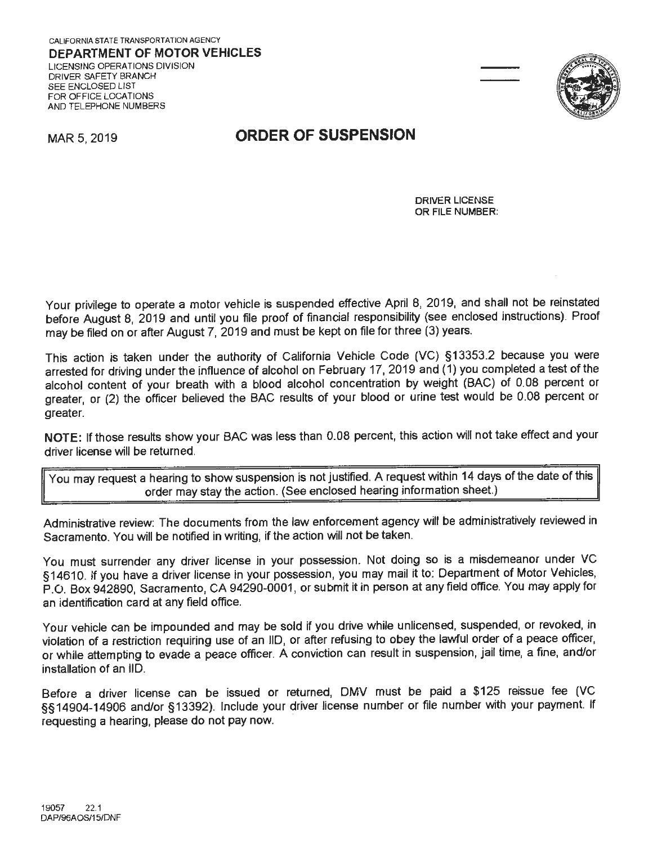

### MAR 5, 2019 **ORDER OF SUSPENSION**

DRIVER LICENSE OR FILE **NUMBER:** 

Your privilege to operate a motor vehicle is suspended effective April 8, 2019, and shall not be reinstated before August 8, 2019 and until you file proof of financial responsibility (see enclosed instructions). Proof may be filed on or after August 7, 2019 and must be kept on file for three (3) years.

This action is taken under the authority of California Vehicle Code (VC) §13353.2 because you were arrested for driving under the influence of alcohol on February 17, 2019 and ( 1) you completed a test of the alcohol content of your breath with a blood alcohol concentration by weight (BAC) of 0.08 percent or greater, or (2) the officer believed the BAC results of your blood or urine test would be 0.08 percent or greater.

**NOTE:** If those results show your BAC was less than 0.08 percent, this action will not take effect and your driver license will be returned.

You may request a hearing to show suspension is not justified. A request within 14 days of the date of this a order may stay the action. (See enclosed hearing information sheet.)

Administrative review: The documents from the law enforcement agency will be administratively reviewed in Sacramento. You will be notified in writing, if the action will not be taken.

You must surrender any driver license in your possession. Not doing so is a misdemeanor under VC §14610. If you have a driver license in your possession, you may mail it to: Department of Motor Vehicles, P.O. Box 942890, Sacramento, CA 94290-0001, or submit it in person at any field office. You may apply for an identification card at any field office.

Your vehicle can be impounded and may be sold if you drive while unlicensed, suspended, or revoked, in violation of a restriction requiring use of an 11D, or after refusing to obey the lawful order of a peace officer, or while attempting to evade a peace officer. A conviction can result in suspension, jail time, a fine, and/or installation of an 11D.

Before a driver license can be issued or returned, OMV must be paid a \$125 reissue fee (VC §§14904-14906 and/or §13392). Include your driver license number or file number with your payment. If requesting a hearing, please do not pay now.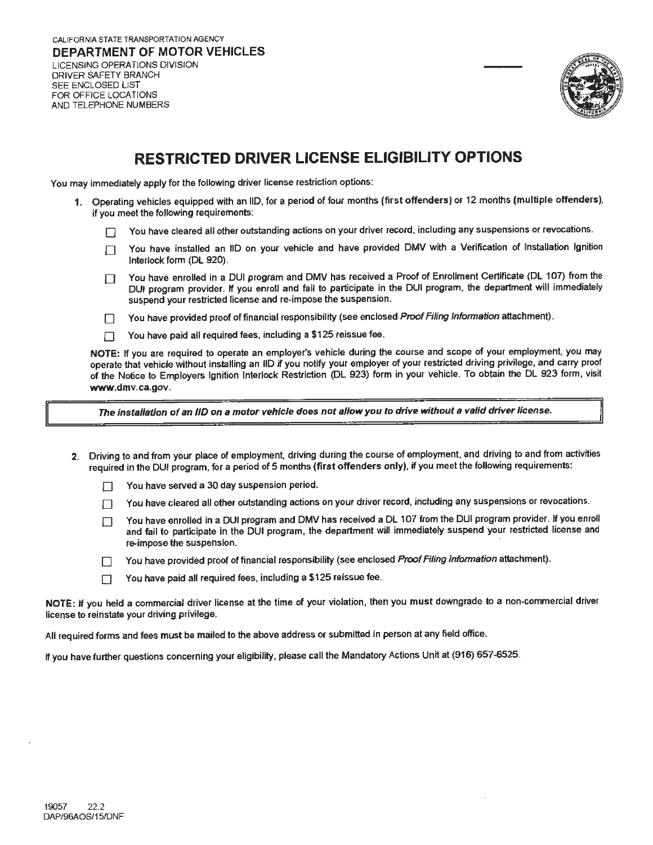DRIVER SAFETY BRANCH SEE ENCLOSED LIST FOR OFFICE LOCATIONS AND TELEPHONE NUMBERS



# **RESTRICTED DRIVER LICENSE ELIGIBILITY OPTIONS**

You may immediately apply for the following driver license restriction options:

- **1.** Operating vehicles equipped with an 110, for a period of four months **(first offenders)** or 12 months (multiple **offenders),**  if you meet the following requirements:
	- D You have cleared all other outstanding actions on your driver record, including any suspensions or revocations.
	- T You have installed an IID on your vehicle and have provided DMV with a Verification of Installation Ignition Interlock form (DL 920).
	- T You have enrolled in a DUI program and DMV has received a Proof of Enrollment Certificate (DL 107) from the DUI program provider. If you enroll and fail to participate in the DUI program, the department will immediately suspend your restricted license and re-impose the suspension.
	- T You have provided proof of financial responsibility (see enclosed Proof Filing Information attachment).
	- $\Box$  You have paid all required fees, including a \$125 reissue fee.

**NOTE:** If you are required to operate an employer's vehicle during the course and scope of your employment, you may operate that vehicle without installing an 110 if you notify your employer of your restricted driving privilege, and carry proof of the Notice to Employers Ignition Interlock Restriction (DL 923) form in your vehicle. To obtain the DL 923 form, visit **www.dmv.ca.gov.** 

**The installation of an /ID on a motor vehicle does not allow you to drive without a valid driver license.** 

- **2.** Driving to and from your place of employment, driving during the course of employment, and driving to and from activities required in the DUI program, for a period of 5 months **(first offenders** only), if you meet the following requirements:
	- You have served a 30 day suspension period.
	- T You have cleared all other outstanding actions on your driver record, including any suspensions or revocations.
	- $\Box$  You have enrolled in a DUI program and DMV has received a DL 107 from the DUI program provider. If you enroll and fail to participate in the DUI program, the department will immediately suspend your restricted license and re-impose the suspension.
	- T You have provided proof of financial responsibility (see enclosed Proof Filing Information attachment).
	- $\Box$  You have paid all required fees, including a \$125 reissue fee.

NOTE: If you held a commercial driver license at the time of your violation, then you must downgrade to a non-commercial driver license to reinstate your driving privilege.

All required forms and fees must be mailed to the above address or submitted in person at any field office.

If you have further questions concerning your eligibility, please call the Mandatory Actions Unit at (916) 657-6525.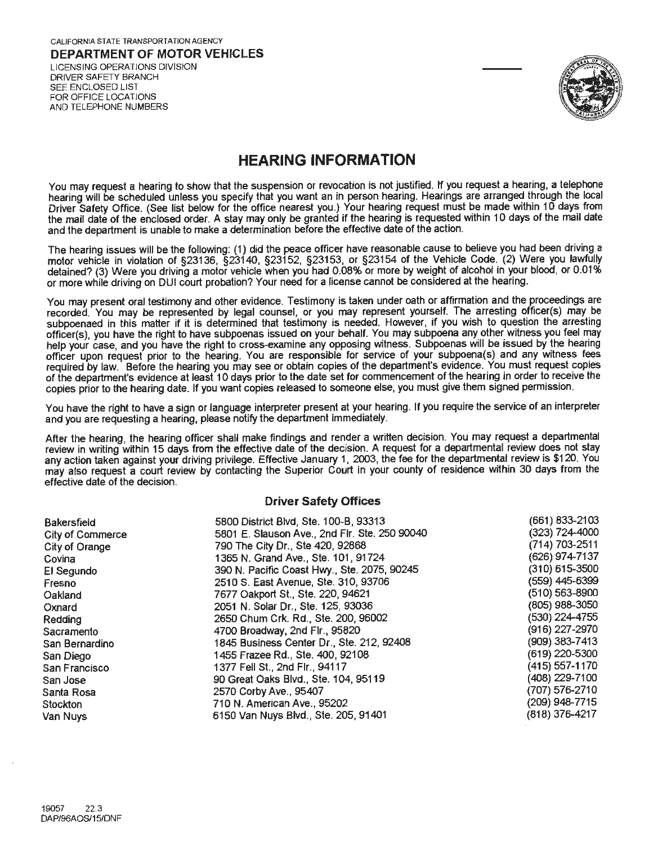

## **HEARING INFORMATION**

You may request a hearing to show that the suspension or revocation is not justified. If you request a hearing, a telephone hearing will be scheduled unless you specify that you want an in person hearing. Hearings are arranged through the local Driver Safety Office. (See list below for the office nearest you.) Your hearing request must be made within 10 days from the mail date of the enclosed order. A stay may only be granted if the hearing is requested within 10 days of the mail date and the department is unable to make a determination before the effective date of the action.

The hearing issues will be the following: (1) did the peace officer have reasonable cause to believe you had been driving a motor vehicle in violation of §23136, §23140, §23152, §23153, or §23154 of the Vehicle Code. (2) Were you lawfully detained? (3) Were you driving a motor vehicle when you had 0.08% or more by weight of alcohol in your blood, or 0.01% or more while driving on DUI court probation? Your need for a license cannot be considered at the hearing.

You may present oral testimony and other evidence. Testimony is taken under oath or affirmation and the proceedings are recorded. You may be represented by legal counsel, or you may represent yourself. The arresting officer(s) may be subpoenaed in this matter if it is determined that testimony is needed. However, if you wish to question the arresting officer(s), you have the right to have subpoenas issued on your behalf. You may subpoena any other witness you feel may help your case, and you have the right to cross-examine any opposing witness. Subpoenas will be issued by the hearing officer upon request prior to the hearing. You are responsible for service of your subpoena(s) and any witness fees required by law. Before the hearing you may see or obtain copies of the department's evidence. You must request copies of the department's evidence at least 10 days prior to the date set for commencement of the hearing in order to receive the copies prior to the hearing date. If you want copies released to someone else, you must give them signed permission.

You have the right to have a sign or language interpreter present at your hearing. If you require the service of an interpreter and you are requesting a hearing, please notify the department immediately.

After the hearing, the hearing officer shall make findings and render a written decision. You may request a departmental review in writing within 15 days from the effective date of the decision. A request for a departmental review does not stay any action taken against your driving privilege. Effective January 1, 2003, the fee for the departmental review is \$120. You may also request a court review by contacting the Superior Court in your county of residence within 30 days from the effective date of the decision.

#### **Driver Safety Offices**

| (661) 833-2103<br>5800 District Blvd, Ste. 100-B, 93313<br><b>Bakersfield</b>       |  |
|-------------------------------------------------------------------------------------|--|
| (323) 724-4000<br>5801 E. Slauson Ave., 2nd Fir. Ste. 250 90040<br>City of Commerce |  |
| (714) 703-2511<br>790 The City Dr., Ste 420, 92868<br>City of Orange                |  |
| (626) 974-7137<br>1365 N. Grand Ave., Ste. 101, 91724<br>Covina                     |  |
| $(310)$ 615-3500<br>390 N. Pacific Coast Hwy., Ste. 2075, 90245<br>El Segundo       |  |
| (559) 445-6399<br>2510 S. East Avenue, Ste. 310, 93706<br>Fresno                    |  |
| $(510)$ 563-8900<br>7677 Oakport St., Ste. 220, 94621<br>Oakland                    |  |
| (805) 988-3050<br>2051 N. Solar Dr., Ste. 125, 93036<br>Oxnard                      |  |
| (530) 224-4755<br>2650 Chum Crk. Rd., Ste. 200, 96002<br>Redding                    |  |
| (916) 227-2970<br>4700 Broadway, 2nd Flr., 95820<br>Sacramento                      |  |
| (909) 383-7413<br>1845 Business Center Dr., Ste. 212, 92408<br>San Bernardino       |  |
| (619) 220-5300<br>1455 Frazee Rd., Ste. 400, 92108<br>San Diego                     |  |
| (415) 557-1170<br>1377 Fell St., 2nd Flr., 94117<br>San Francisco                   |  |
| (408) 229-7100<br>90 Great Oaks Blvd., Ste. 104, 95119<br>San Jose                  |  |
| (707) 576-2710<br>2570 Corby Ave., 95407<br>Santa Rosa                              |  |
| (209) 948-7715<br>710 N. American Ave., 95202<br>Stockton                           |  |
| (818) 376-4217<br>6150 Van Nuys Blvd., Ste. 205, 91401<br>Van Nuys                  |  |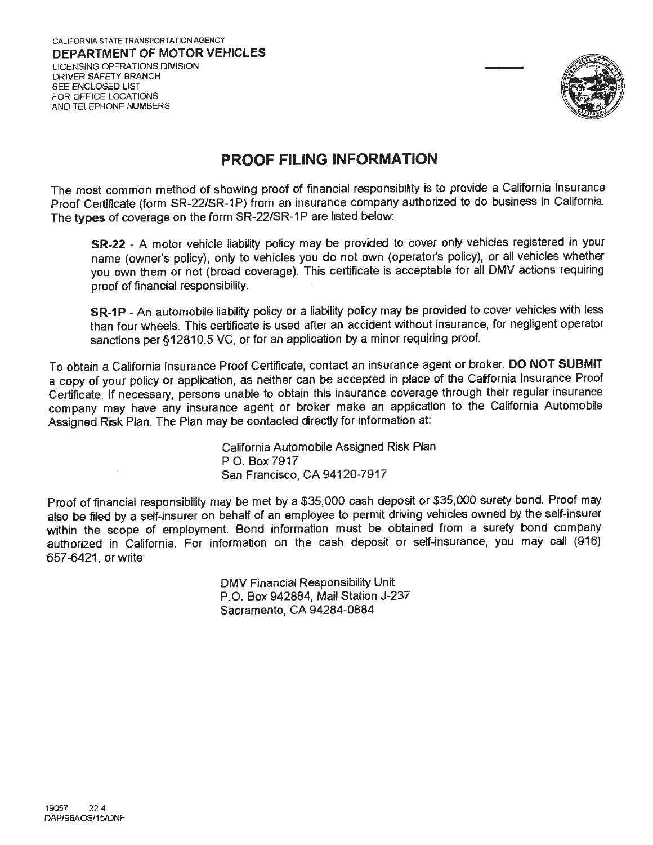

## **PROOF FILING INFORMATION**

The most common method of showing proof of financial responsibility is to provide a California Insurance Proof Certificate (form SR-22/SR-1P) from an insurance company authorized to do business in California. The types of coverage on the form SR-22/SR-1P are listed below:

**SR-22** - A motor vehicle liability policy may be provided to cover only vehicles registered in your name (owner's policy), only to vehicles you do not own (operator's policy), or all vehicles whether you own them or not (broad coverage). This certificate is acceptable for all OMV actions requiring proof of financial responsibility.

**SR-1P** - An automobile liability policy or a liability policy may be provided to cover vehicles with less than four wheels. This certificate is used after an accident without insurance, for negligent operator sanctions per §12810.5 VC, or for an application by a minor requiring proof.

To obtain a California Insurance Proof Certificate, contact an insurance agent or broker. **DO NOT SUBMIT**  a copy of your policy or application, as neither can be accepted in place of the California Insurance Proof Certificate. If necessary, persons unable to obtain this insurance coverage through their regular insurance company may have any insurance agent or broker make an application to the California Automobile Assigned Risk Plan. The Plan may be contacted directly for information at

> California Automobile Assigned Risk Plan P.O. Box 7917 San Francisco, CA 94120-7917

Proof of financial responsibility may be met by a \$35,000 cash deposit or \$35,000 surety bond. Proof may also be filed by a self-insurer on behalf of an employee to permit driving vehicles owned by the self-insurer within the scope of employment. Bond information must be obtained from a surety bond company authorized in California. For information on the cash deposit or self-insurance, you may call (916) 657-6421, or write:

> OMV Financial Responsibility Unit P.O. Box 942884, Mail Station J-237 Sacramento, CA 94284-0884